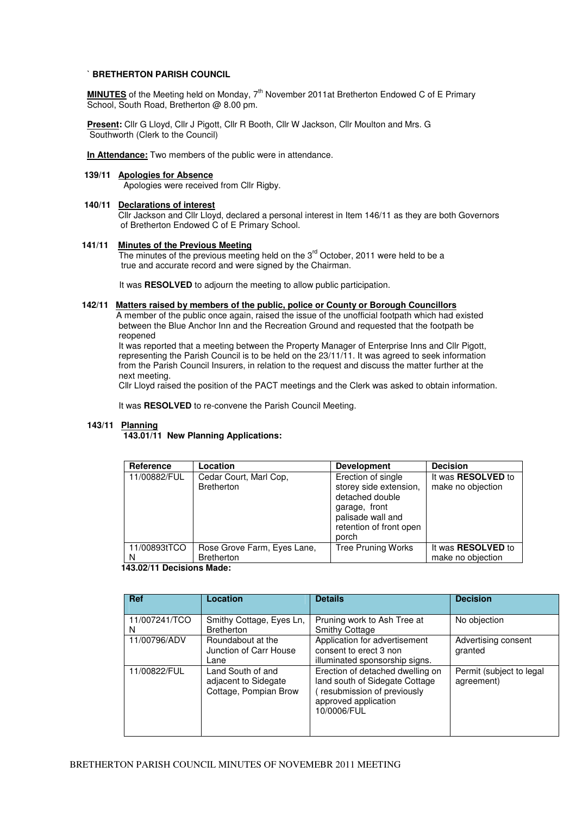#### **` BRETHERTON PARISH COUNCIL**

**MINUTES** of the Meeting held on Monday, 7<sup>th</sup> November 2011at Bretherton Endowed C of E Primary School, South Road, Bretherton @ 8.00 pm.

**Present:** Cllr G Lloyd, Cllr J Pigott, Cllr R Booth, Cllr W Jackson, Cllr Moulton and Mrs. G Southworth (Clerk to the Council)

**In Attendance:** Two members of the public were in attendance.

# **139/11 Apologies for Absence**

Apologies were received from Cllr Rigby.

## **140/11 Declarations of interest**

 Cllr Jackson and Cllr Lloyd, declared a personal interest in Item 146/11 as they are both Governors of Bretherton Endowed C of E Primary School.

# **141/11 Minutes of the Previous Meeting**

The minutes of the previous meeting held on the 3<sup>rd</sup> October, 2011 were held to be a true and accurate record and were signed by the Chairman.

It was **RESOLVED** to adjourn the meeting to allow public participation.

## **142/11 Matters raised by members of the public, police or County or Borough Councillors**

 A member of the public once again, raised the issue of the unofficial footpath which had existed between the Blue Anchor Inn and the Recreation Ground and requested that the footpath be reopened

 It was reported that a meeting between the Property Manager of Enterprise Inns and Cllr Pigott, representing the Parish Council is to be held on the 23/11/11. It was agreed to seek information from the Parish Council Insurers, in relation to the request and discuss the matter further at the next meeting.

Cllr Lloyd raised the position of the PACT meetings and the Clerk was asked to obtain information.

It was **RESOLVED** to re-convene the Parish Council Meeting.

## **143/11 Planning**

 **143.01/11 New Planning Applications:** 

| Reference                 | Location                                         | <b>Development</b>                                                                                                                        | <b>Decision</b>                                |  |
|---------------------------|--------------------------------------------------|-------------------------------------------------------------------------------------------------------------------------------------------|------------------------------------------------|--|
| 11/00882/FUL              | Cedar Court, Marl Cop,<br><b>Bretherton</b>      | Erection of single<br>storey side extension,<br>detached double<br>garage, front<br>palisade wall and<br>retention of front open<br>porch | It was <b>RESOLVED</b> to<br>make no objection |  |
| 11/00893tTCO<br>N         | Rose Grove Farm, Eyes Lane,<br><b>Bretherton</b> | <b>Tree Pruning Works</b>                                                                                                                 | It was <b>RESOLVED</b> to<br>make no objection |  |
| 143 02/11 Decisions Made: |                                                  |                                                                                                                                           |                                                |  |

 **143.02/11 Decisions Made:** 

| <b>Ref</b>         | Location                                                           | <b>Details</b>                                                                                                                          | <b>Decision</b>                        |
|--------------------|--------------------------------------------------------------------|-----------------------------------------------------------------------------------------------------------------------------------------|----------------------------------------|
| 11/007241/TCO<br>N | Smithy Cottage, Eyes Ln,<br><b>Bretherton</b>                      | Pruning work to Ash Tree at<br><b>Smithy Cottage</b>                                                                                    | No objection                           |
| 11/00796/ADV       | Roundabout at the<br>Junction of Carr House<br>Lane                | Application for advertisement<br>consent to erect 3 non<br>illuminated sponsorship signs.                                               | Advertising consent<br>granted         |
| 11/00822/FUL       | Land South of and<br>adjacent to Sidegate<br>Cottage, Pompian Brow | Erection of detached dwelling on<br>land south of Sidegate Cottage<br>resubmission of previously<br>approved application<br>10/0006/FUL | Permit (subject to legal<br>agreement) |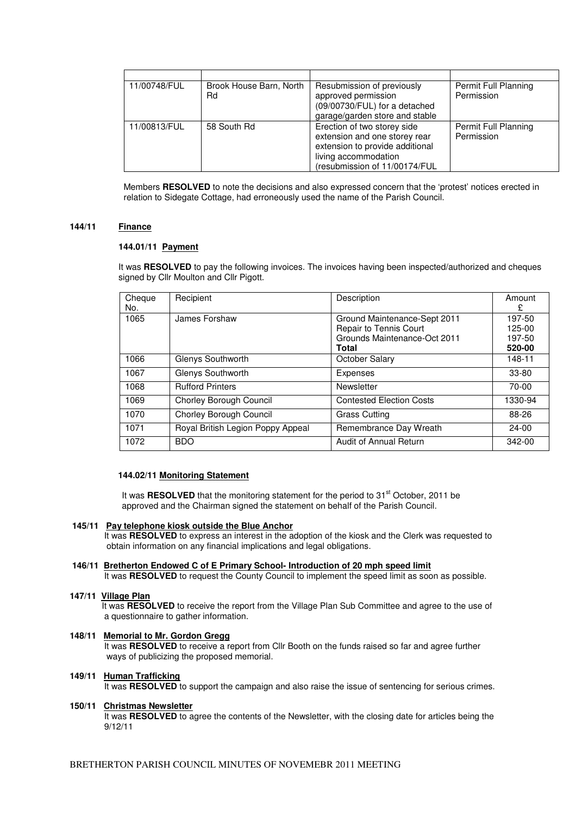| 11/00748/FUL | Brook House Barn, North<br>Rd | Resubmission of previously<br>approved permission<br>(09/00730/FUL) for a detached<br>garage/garden store and stable                                     | Permit Full Planning<br>Permission |
|--------------|-------------------------------|----------------------------------------------------------------------------------------------------------------------------------------------------------|------------------------------------|
| 11/00813/FUL | 58 South Rd                   | Erection of two storey side<br>extension and one storey rear<br>extension to provide additional<br>living accommodation<br>(resubmission of 11/00174/FUL | Permit Full Planning<br>Permission |

Members **RESOLVED** to note the decisions and also expressed concern that the 'protest' notices erected in relation to Sidegate Cottage, had erroneously used the name of the Parish Council.

## **144/11 Finance**

#### **144.01/11 Payment**

It was **RESOLVED** to pay the following invoices. The invoices having been inspected/authorized and cheques signed by Cllr Moulton and Cllr Pigott.

| Cheque<br>No. | Recipient                         | Description                                            | Amount<br>£      |
|---------------|-----------------------------------|--------------------------------------------------------|------------------|
| 1065          | James Forshaw                     | Ground Maintenance-Sept 2011<br>Repair to Tennis Court | 197-50<br>125-00 |
|               |                                   | Grounds Maintenance-Oct 2011<br><b>Total</b>           | 197-50<br>520-00 |
| 1066          | Glenys Southworth                 | October Salary                                         | 148-11           |
| 1067          | Glenys Southworth                 | Expenses                                               | 33-80            |
| 1068          | <b>Rufford Printers</b>           | Newsletter                                             | 70-00            |
| 1069          | Chorley Borough Council           | <b>Contested Election Costs</b>                        | 1330-94          |
| 1070          | Chorley Borough Council           | <b>Grass Cutting</b>                                   | 88-26            |
| 1071          | Royal British Legion Poppy Appeal | Remembrance Day Wreath                                 | $24 - 00$        |
| 1072          | <b>BDO</b>                        | <b>Audit of Annual Return</b>                          | 342-00           |

#### **144.02/11 Monitoring Statement**

It was **RESOLVED** that the monitoring statement for the period to 31<sup>st</sup> October. 2011 be approved and the Chairman signed the statement on behalf of the Parish Council.

## **145/11 Pay telephone kiosk outside the Blue Anchor**

 It was **RESOLVED** to express an interest in the adoption of the kiosk and the Clerk was requested to obtain information on any financial implications and legal obligations.

# **146/11 Bretherton Endowed C of E Primary School- Introduction of 20 mph speed limit**

It was **RESOLVED** to request the County Council to implement the speed limit as soon as possible.

#### **147/11 Village Plan**

 It was **RESOLVED** to receive the report from the Village Plan Sub Committee and agree to the use of a questionnaire to gather information.

## **148/11 Memorial to Mr. Gordon Gregg**

 It was **RESOLVED** to receive a report from Cllr Booth on the funds raised so far and agree further ways of publicizing the proposed memorial.

## **149/11 Human Trafficking**

It was **RESOLVED** to support the campaign and also raise the issue of sentencing for serious crimes.

#### **150/11 Christmas Newsletter**

It was **RESOLVED** to agree the contents of the Newsletter, with the closing date for articles being the 9/12/11